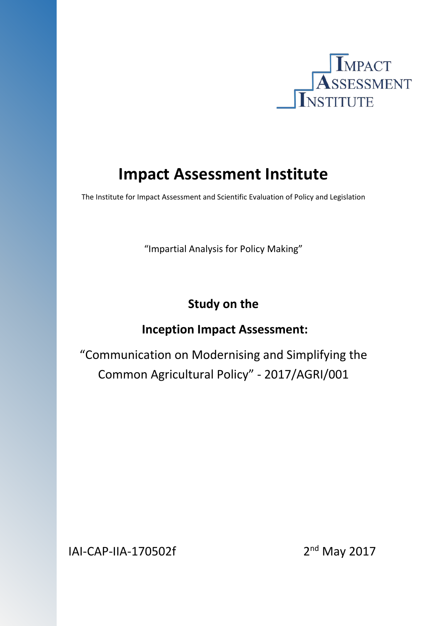

# **Impact Assessment Institute**

The Institute for Impact Assessment and Scientific Evaluation of Policy and Legislation

"Impartial Analysis for Policy Making"

# **Study on the**

# **Inception Impact Assessment:**

"Communication on Modernising and Simplifying the Common Agricultural Policy" - 2017/AGRI/001

IAI-CAP-IIA-170502f 2<sup>nd</sup> May 2017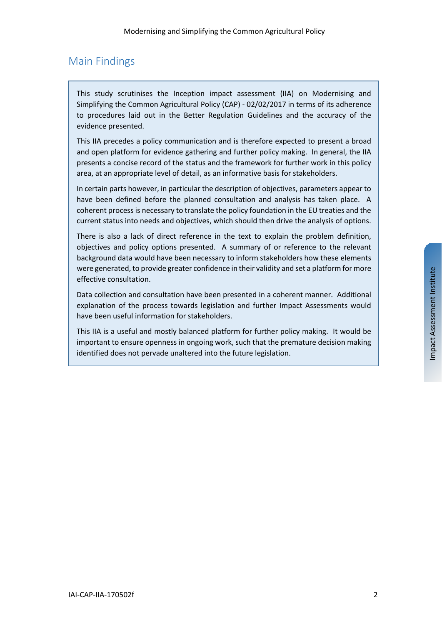## Main Findings

This study scrutinises the Inception impact assessment (IIA) on Modernising and Simplifying the Common Agricultural Policy (CAP) - 02/02/2017 in terms of its adherence to procedures laid out in the Better Regulation Guidelines and the accuracy of the evidence presented.

This IIA precedes a policy communication and is therefore expected to present a broad and open platform for evidence gathering and further policy making. In general, the IIA presents a concise record of the status and the framework for further work in this policy area, at an appropriate level of detail, as an informative basis for stakeholders.

In certain parts however, in particular the description of objectives, parameters appear to have been defined before the planned consultation and analysis has taken place. A coherent processis necessary to translate the policy foundation in the EU treaties and the current status into needs and objectives, which should then drive the analysis of options.

There is also a lack of direct reference in the text to explain the problem definition, objectives and policy options presented. A summary of or reference to the relevant background data would have been necessary to inform stakeholders how these elements were generated, to provide greater confidence in their validity and set a platform for more effective consultation.

Data collection and consultation have been presented in a coherent manner. Additional explanation of the process towards legislation and further Impact Assessments would have been useful information for stakeholders.

This IIA is a useful and mostly balanced platform for further policy making. It would be important to ensure openness in ongoing work, such that the premature decision making identified does not pervade unaltered into the future legislation.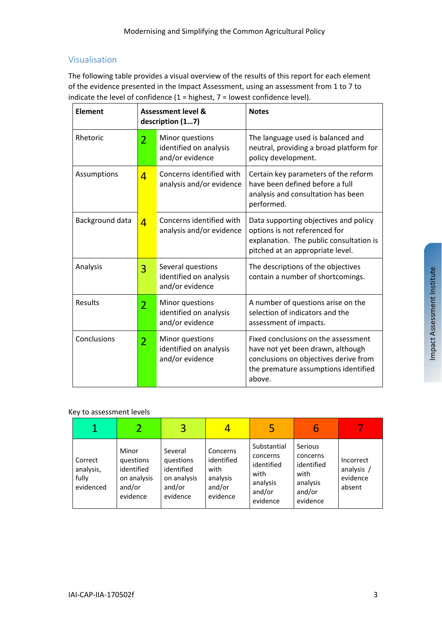#### Visualisation

The following table provides a visual overview of the results of this report for each element of the evidence presented in the Impact Assessment, using an assessment from 1 to 7 to indicate the level of confidence  $(1 =$  highest,  $7 =$  lowest confidence level).

| <b>Element</b>  |                | <b>Assessment level &amp;</b><br>description (17)              | <b>Notes</b>                                                                                                                                                        |  |  |
|-----------------|----------------|----------------------------------------------------------------|---------------------------------------------------------------------------------------------------------------------------------------------------------------------|--|--|
| Rhetoric        | $\overline{2}$ | Minor questions<br>identified on analysis<br>and/or evidence   | The language used is balanced and<br>neutral, providing a broad platform for<br>policy development.                                                                 |  |  |
| Assumptions     | $\overline{4}$ | Concerns identified with<br>analysis and/or evidence           | Certain key parameters of the reform<br>have been defined before a full<br>analysis and consultation has been<br>performed.                                         |  |  |
| Background data | $\overline{4}$ | Concerns identified with<br>analysis and/or evidence           | Data supporting objectives and policy<br>options is not referenced for<br>explanation. The public consultation is<br>pitched at an appropriate level.               |  |  |
| Analysis        | 3              | Several questions<br>identified on analysis<br>and/or evidence | The descriptions of the objectives<br>contain a number of shortcomings.                                                                                             |  |  |
| Results         | $\overline{2}$ | Minor questions<br>identified on analysis<br>and/or evidence   | A number of questions arise on the<br>selection of indicators and the<br>assessment of impacts.                                                                     |  |  |
| Conclusions     | $\overline{2}$ | Minor questions<br>identified on analysis<br>and/or evidence   | Fixed conclusions on the assessment<br>have not yet been drawn, although<br>conclusions on objectives derive from<br>the premature assumptions identified<br>above. |  |  |

#### Key to assessment levels

|                                            |                                                                       | 3                                                                       |                                                                  | 5                                                                               |                                                                             |                                               |
|--------------------------------------------|-----------------------------------------------------------------------|-------------------------------------------------------------------------|------------------------------------------------------------------|---------------------------------------------------------------------------------|-----------------------------------------------------------------------------|-----------------------------------------------|
| Correct<br>analysis,<br>fully<br>evidenced | Minor<br>questions<br>identified<br>on analysis<br>and/or<br>evidence | Several<br>questions<br>identified<br>on analysis<br>and/or<br>evidence | Concerns<br>identified<br>with<br>analysis<br>and/or<br>evidence | Substantial<br>concerns<br>identified<br>with<br>analysis<br>and/or<br>evidence | Serious<br>concerns<br>identified<br>with<br>analysis<br>and/or<br>evidence | Incorrect<br>analysis /<br>evidence<br>absent |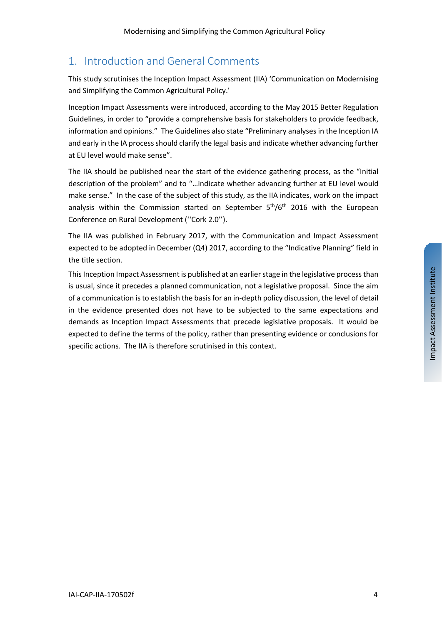## 1. Introduction and General Comments

This study scrutinises the Inception Impact Assessment (IIA) 'Communication on Modernising and Simplifying the Common Agricultural Policy.'

Inception Impact Assessments were introduced, according to the May 2015 Better Regulation Guidelines, in order to "provide a comprehensive basis for stakeholders to provide feedback, information and opinions." The Guidelines also state "Preliminary analyses in the Inception IA and early in the IA process should clarify the legal basis and indicate whether advancing further at EU level would make sense".

The IIA should be published near the start of the evidence gathering process, as the "Initial description of the problem" and to "…indicate whether advancing further at EU level would make sense." In the case of the subject of this study, as the IIA indicates, work on the impact analysis within the Commission started on September  $5<sup>th</sup>/6<sup>th</sup>$  2016 with the European Conference on Rural Development (''Cork 2.0'').

The IIA was published in February 2017, with the Communication and Impact Assessment expected to be adopted in December (Q4) 2017, according to the "Indicative Planning" field in the title section.

This Inception Impact Assessment is published at an earlier stage in the legislative process than is usual, since it precedes a planned communication, not a legislative proposal. Since the aim of a communication isto establish the basisfor an in-depth policy discussion, the level of detail in the evidence presented does not have to be subjected to the same expectations and demands as Inception Impact Assessments that precede legislative proposals. It would be expected to define the terms of the policy, rather than presenting evidence or conclusions for specific actions. The IIA is therefore scrutinised in this context.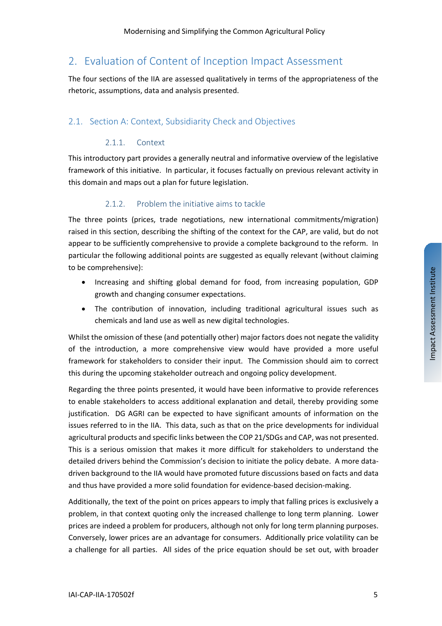### 2. Evaluation of Content of Inception Impact Assessment

The four sections of the IIA are assessed qualitatively in terms of the appropriateness of the rhetoric, assumptions, data and analysis presented.

#### 2.1. Section A: Context, Subsidiarity Check and Objectives

#### 2.1.1. Context

This introductory part provides a generally neutral and informative overview of the legislative framework of this initiative. In particular, it focuses factually on previous relevant activity in this domain and maps out a plan for future legislation.

#### 2.1.2. Problem the initiative aims to tackle

The three points (prices, trade negotiations, new international commitments/migration) raised in this section, describing the shifting of the context for the CAP, are valid, but do not appear to be sufficiently comprehensive to provide a complete background to the reform. In particular the following additional points are suggested as equally relevant (without claiming to be comprehensive):

- Increasing and shifting global demand for food, from increasing population, GDP growth and changing consumer expectations.
- The contribution of innovation, including traditional agricultural issues such as chemicals and land use as well as new digital technologies.

Whilst the omission of these (and potentially other) major factors does not negate the validity of the introduction, a more comprehensive view would have provided a more useful framework for stakeholders to consider their input. The Commission should aim to correct this during the upcoming stakeholder outreach and ongoing policy development.

Regarding the three points presented, it would have been informative to provide references to enable stakeholders to access additional explanation and detail, thereby providing some justification. DG AGRI can be expected to have significant amounts of information on the issues referred to in the IIA. This data, such as that on the price developments for individual agricultural products and specific links between the COP 21/SDGs and CAP, was not presented. This is a serious omission that makes it more difficult for stakeholders to understand the detailed drivers behind the Commission's decision to initiate the policy debate. A more datadriven background to the IIA would have promoted future discussions based on facts and data and thus have provided a more solid foundation for evidence-based decision-making.

Additionally, the text of the point on prices appears to imply that falling prices is exclusively a problem, in that context quoting only the increased challenge to long term planning. Lower prices are indeed a problem for producers, although not only for long term planning purposes. Conversely, lower prices are an advantage for consumers. Additionally price volatility can be a challenge for all parties. All sides of the price equation should be set out, with broader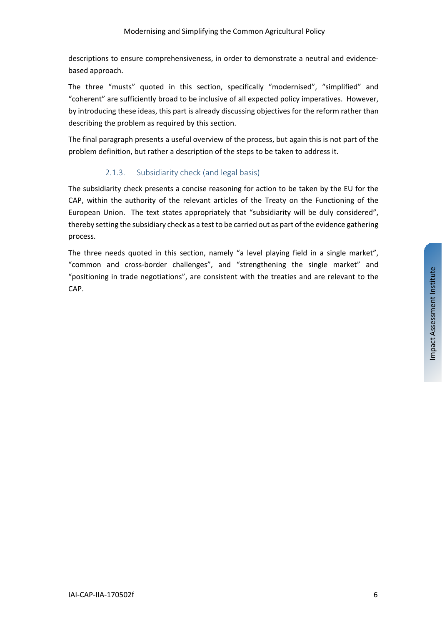descriptions to ensure comprehensiveness, in order to demonstrate a neutral and evidencebased approach.

The three "musts" quoted in this section, specifically "modernised", "simplified" and "coherent" are sufficiently broad to be inclusive of all expected policy imperatives. However, by introducing these ideas, this part is already discussing objectives for the reform rather than describing the problem as required by this section.

The final paragraph presents a useful overview of the process, but again this is not part of the problem definition, but rather a description of the steps to be taken to address it.

#### 2.1.3. Subsidiarity check (and legal basis)

The subsidiarity check presents a concise reasoning for action to be taken by the EU for the CAP, within the authority of the relevant articles of the Treaty on the Functioning of the European Union. The text states appropriately that "subsidiarity will be duly considered", thereby setting the subsidiary check as a test to be carried out as part of the evidence gathering process.

The three needs quoted in this section, namely "a level playing field in a single market", "common and cross-border challenges", and "strengthening the single market" and "positioning in trade negotiations", are consistent with the treaties and are relevant to the CAP.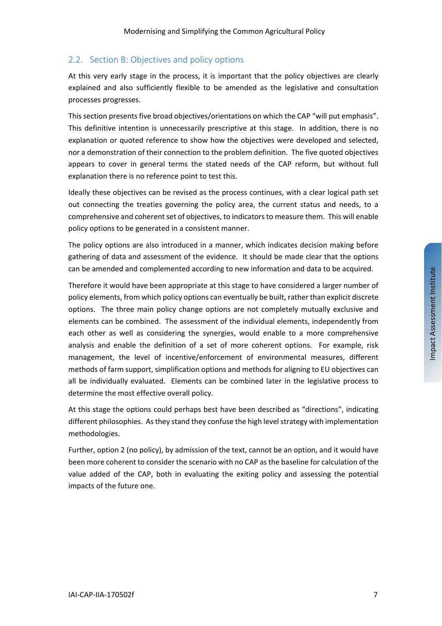#### 2.2. Section B: Objectives and policy options

At this very early stage in the process, it is important that the policy objectives are clearly explained and also sufficiently flexible to be amended as the legislative and consultation processes progresses.

This section presents five broad objectives/orientations on which the CAP "will put emphasis". This definitive intention is unnecessarily prescriptive at this stage. In addition, there is no explanation or quoted reference to show how the objectives were developed and selected, nor a demonstration of their connection to the problem definition. The five quoted objectives appears to cover in general terms the stated needs of the CAP reform, but without full explanation there is no reference point to test this.

Ideally these objectives can be revised as the process continues, with a clear logical path set out connecting the treaties governing the policy area, the current status and needs, to a comprehensive and coherent set of objectives, to indicators to measure them. This will enable policy options to be generated in a consistent manner.

The policy options are also introduced in a manner, which indicates decision making before gathering of data and assessment of the evidence. It should be made clear that the options can be amended and complemented according to new information and data to be acquired.

Therefore it would have been appropriate at this stage to have considered a larger number of policy elements, from which policy options can eventually be built, rather than explicit discrete options. The three main policy change options are not completely mutually exclusive and elements can be combined. The assessment of the individual elements, independently from each other as well as considering the synergies, would enable to a more comprehensive analysis and enable the definition of a set of more coherent options. For example, risk management, the level of incentive/enforcement of environmental measures, different methods of farm support, simplification options and methods for aligning to EU objectives can all be individually evaluated. Elements can be combined later in the legislative process to determine the most effective overall policy.

At this stage the options could perhaps best have been described as "directions", indicating different philosophies. As they stand they confuse the high level strategy with implementation methodologies.

Further, option 2 (no policy), by admission of the text, cannot be an option, and it would have been more coherent to consider the scenario with no CAP asthe baseline for calculation of the value added of the CAP, both in evaluating the exiting policy and assessing the potential impacts of the future one.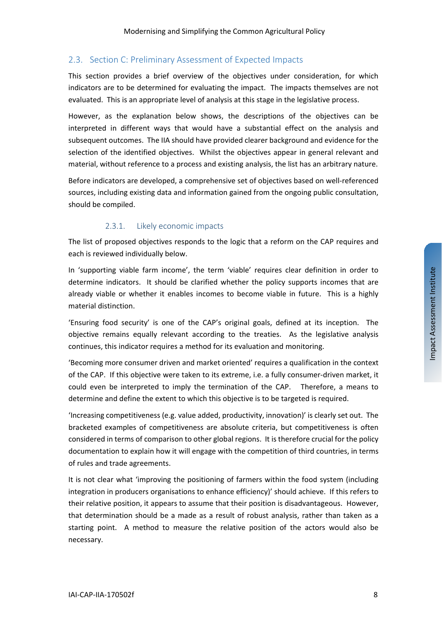#### 2.3. Section C: Preliminary Assessment of Expected Impacts

This section provides a brief overview of the objectives under consideration, for which indicators are to be determined for evaluating the impact. The impacts themselves are not evaluated. This is an appropriate level of analysis at this stage in the legislative process.

However, as the explanation below shows, the descriptions of the objectives can be interpreted in different ways that would have a substantial effect on the analysis and subsequent outcomes. The IIA should have provided clearer background and evidence for the selection of the identified objectives. Whilst the objectives appear in general relevant and material, without reference to a process and existing analysis, the list has an arbitrary nature.

Before indicators are developed, a comprehensive set of objectives based on well-referenced sources, including existing data and information gained from the ongoing public consultation, should be compiled.

#### 2.3.1. Likely economic impacts

The list of proposed objectives responds to the logic that a reform on the CAP requires and each is reviewed individually below.

In 'supporting viable farm income', the term 'viable' requires clear definition in order to determine indicators. It should be clarified whether the policy supports incomes that are already viable or whether it enables incomes to become viable in future. This is a highly material distinction.

'Ensuring food security' is one of the CAP's original goals, defined at its inception. The objective remains equally relevant according to the treaties. As the legislative analysis continues, this indicator requires a method for its evaluation and monitoring.

'Becoming more consumer driven and market oriented' requires a qualification in the context of the CAP. If this objective were taken to its extreme, i.e. a fully consumer-driven market, it could even be interpreted to imply the termination of the CAP. Therefore, a means to determine and define the extent to which this objective is to be targeted is required.

'Increasing competitiveness (e.g. value added, productivity, innovation)' is clearly set out. The bracketed examples of competitiveness are absolute criteria, but competitiveness is often considered in terms of comparison to other global regions. It is therefore crucial for the policy documentation to explain how it will engage with the competition of third countries, in terms of rules and trade agreements.

It is not clear what 'improving the positioning of farmers within the food system (including integration in producers organisations to enhance efficiency)' should achieve. If this refers to their relative position, it appears to assume that their position is disadvantageous. However, that determination should be a made as a result of robust analysis, rather than taken as a starting point. A method to measure the relative position of the actors would also be necessary.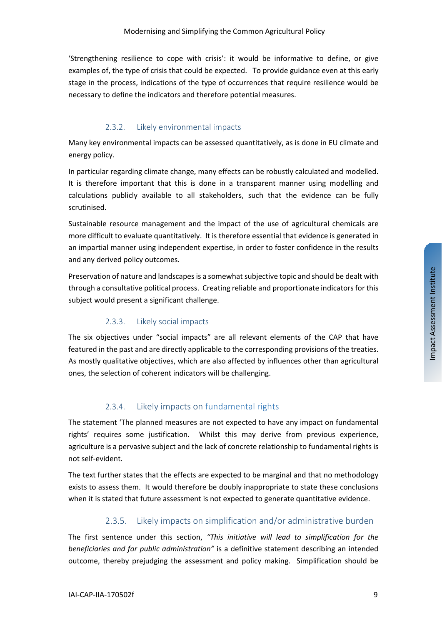'Strengthening resilience to cope with crisis': it would be informative to define, or give examples of, the type of crisis that could be expected. To provide guidance even at this early stage in the process, indications of the type of occurrences that require resilience would be necessary to define the indicators and therefore potential measures.

#### 2.3.2. Likely environmental impacts

Many key environmental impacts can be assessed quantitatively, as is done in EU climate and energy policy.

In particular regarding climate change, many effects can be robustly calculated and modelled. It is therefore important that this is done in a transparent manner using modelling and calculations publicly available to all stakeholders, such that the evidence can be fully scrutinised.

Sustainable resource management and the impact of the use of agricultural chemicals are more difficult to evaluate quantitatively. It is therefore essential that evidence is generated in an impartial manner using independent expertise, in order to foster confidence in the results and any derived policy outcomes.

Preservation of nature and landscapes is a somewhat subjective topic and should be dealt with through a consultative political process. Creating reliable and proportionate indicators for this subject would present a significant challenge.

#### 2.3.3. Likely social impacts

The six objectives under "social impacts" are all relevant elements of the CAP that have featured in the past and are directly applicable to the corresponding provisions of the treaties. As mostly qualitative objectives, which are also affected by influences other than agricultural ones, the selection of coherent indicators will be challenging.

#### 2.3.4. Likely impacts on fundamental rights

The statement 'The planned measures are not expected to have any impact on fundamental rights' requires some justification. Whilst this may derive from previous experience, agriculture is a pervasive subject and the lack of concrete relationship to fundamental rights is not self-evident.

The text further states that the effects are expected to be marginal and that no methodology exists to assess them. It would therefore be doubly inappropriate to state these conclusions when it is stated that future assessment is not expected to generate quantitative evidence.

#### 2.3.5. Likely impacts on simplification and/or administrative burden

The first sentence under this section, *"This initiative will lead to simplification for the beneficiaries and for public administration"* is a definitive statement describing an intended outcome, thereby prejudging the assessment and policy making. Simplification should be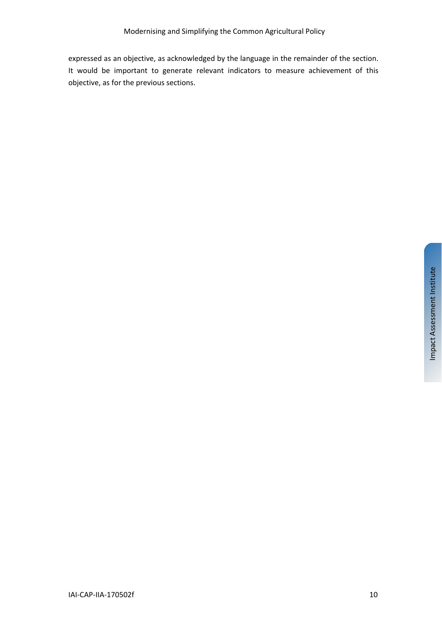expressed as an objective, as acknowledged by the language in the remainder of the section. It would be important to generate relevant indicators to measure achievement of this objective, as for the previous sections.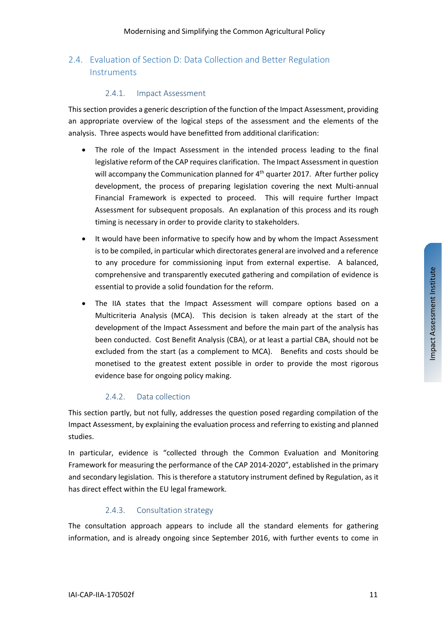#### 2.4. Evaluation of Section D: Data Collection and Better Regulation **Instruments**

#### 2.4.1. Impact Assessment

Thissection provides a generic description of the function of the Impact Assessment, providing an appropriate overview of the logical steps of the assessment and the elements of the analysis. Three aspects would have benefitted from additional clarification:

- The role of the Impact Assessment in the intended process leading to the final legislative reform of the CAP requires clarification. The Impact Assessment in question will accompany the Communication planned for  $4<sup>th</sup>$  quarter 2017. After further policy development, the process of preparing legislation covering the next Multi-annual Financial Framework is expected to proceed. This will require further Impact Assessment for subsequent proposals. An explanation of this process and its rough timing is necessary in order to provide clarity to stakeholders.
- It would have been informative to specify how and by whom the Impact Assessment isto be compiled, in particular which directorates general are involved and a reference to any procedure for commissioning input from external expertise. A balanced, comprehensive and transparently executed gathering and compilation of evidence is essential to provide a solid foundation for the reform.
- The IIA states that the Impact Assessment will compare options based on a Multicriteria Analysis (MCA). This decision is taken already at the start of the development of the Impact Assessment and before the main part of the analysis has been conducted. Cost Benefit Analysis (CBA), or at least a partial CBA, should not be excluded from the start (as a complement to MCA). Benefits and costs should be monetised to the greatest extent possible in order to provide the most rigorous evidence base for ongoing policy making.

#### 2.4.2. Data collection

This section partly, but not fully, addresses the question posed regarding compilation of the Impact Assessment, by explaining the evaluation process and referring to existing and planned studies.

In particular, evidence is "collected through the Common Evaluation and Monitoring Framework for measuring the performance of the CAP 2014-2020", established in the primary and secondary legislation. This is therefore a statutory instrument defined by Regulation, as it has direct effect within the EU legal framework.

#### 2.4.3. Consultation strategy

The consultation approach appears to include all the standard elements for gathering information, and is already ongoing since September 2016, with further events to come in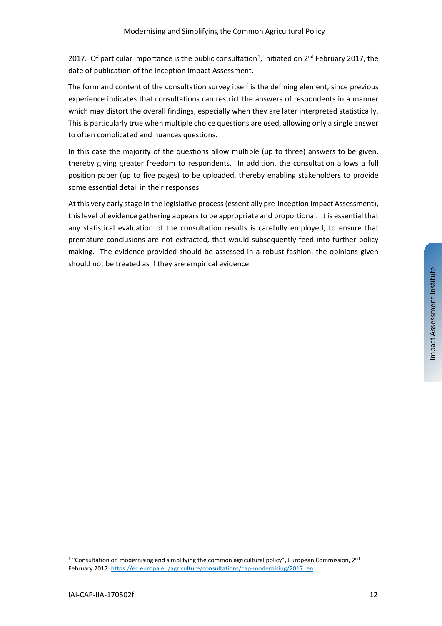20[1](#page-11-0)7. Of particular importance is the public consultation<sup>1</sup>, initiated on  $2^{nd}$  February 2017, the date of publication of the Inception Impact Assessment.

The form and content of the consultation survey itself is the defining element, since previous experience indicates that consultations can restrict the answers of respondents in a manner which may distort the overall findings, especially when they are later interpreted statistically. This is particularly true when multiple choice questions are used, allowing only a single answer to often complicated and nuances questions.

In this case the majority of the questions allow multiple (up to three) answers to be given, thereby giving greater freedom to respondents. In addition, the consultation allows a full position paper (up to five pages) to be uploaded, thereby enabling stakeholders to provide some essential detail in their responses.

At this very early stage in the legislative process(essentially pre-Inception Impact Assessment), thislevel of evidence gathering appears to be appropriate and proportional. It is essential that any statistical evaluation of the consultation results is carefully employed, to ensure that premature conclusions are not extracted, that would subsequently feed into further policy making. The evidence provided should be assessed in a robust fashion, the opinions given should not be treated as if they are empirical evidence.

 $\overline{a}$ 

<span id="page-11-0"></span><sup>&</sup>lt;sup>1</sup> "Consultation on modernising and simplifying the common agricultural policy", European Commission, 2<sup>nd</sup> February 2017: [https://ec.europa.eu/agriculture/consultations/cap-modernising/2017\\_en.](https://ec.europa.eu/agriculture/consultations/cap-modernising/2017_en)